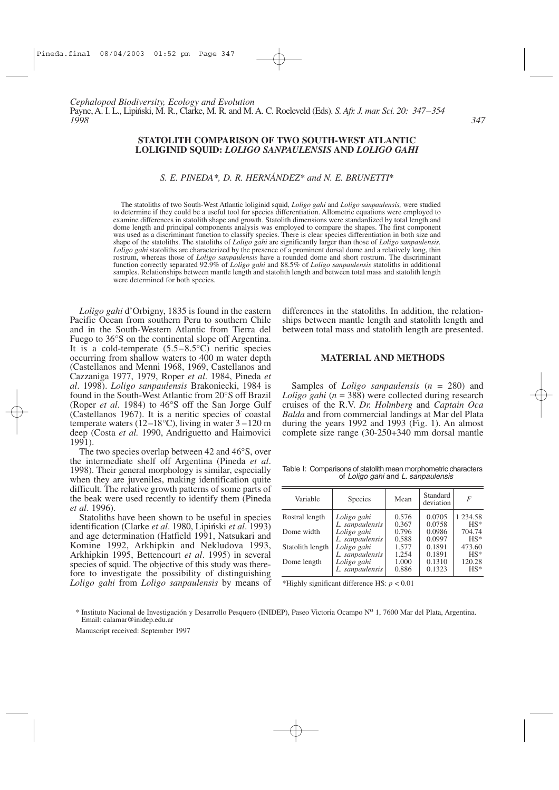#### **STATOLITH COMPARISON OF TWO SOUTH-WEST ATLANTIC LOLIGINID SQUID:** *LOLIGO SANPAULENSIS* **AND** *LOLIGO GAHI*

# *S. E. PINEDA\*, D. R. HERNÁNDEZ\* and N. E. BRUNETTI*\*

The statoliths of two South-West Atlantic loliginid squid, *Loligo gahi* and *Loligo sanpaulensis,* were studied to determine if they could be a useful tool for species differentiation. Allometric equations were employed to examine differences in statolith shape and growth. Statolith dimensions were standardized by total length and dome length and principal components analysis was employed to compare the shapes. The first component was used as a discriminant function to classify species. There is clear species differentiation in both size and shape of the statoliths. The statoliths of *Loligo gahi* are significantly larger than those of *Loligo sanpaulensis. Loligo gahi* statoliths are characterized by the presence of a prominent dorsal dome and a relatively long, thin rostrum, whereas those of *Loligo sanpaulensis* have a rounded dome and short rostrum. The discriminant function correctly separated 92.9% of *Loligo gahi* and 88.5% of *Loligo sanpaulensis* statoliths in additional samples. Relationships between mantle length and statolith length and between total mass and statolith length were determined for both species.

*Loligo gahi* d'Orbigny, 1835 is found in the eastern Pacific Ocean from southern Peru to southern Chile and in the South-Western Atlantic from Tierra del Fuego to 36°S on the continental slope off Argentina. It is a cold-temperate  $(5.5-8.5^{\circ}C)$  neritic species occurring from shallow waters to 400 m water depth (Castellanos and Menni 1968, 1969, Castellanos and Cazzaniga 1977, 1979, Roper *et al*. 1984, Pineda *et al*. 1998). *Loligo sanpaulensis* Brakoniecki, 1984 is found in the South-West Atlantic from 20°S off Brazil (Roper *et al*. 1984) to 46°S off the San Jorge Gulf (Castellanos 1967). It is a neritic species of coastal temperate waters (12–18 $^{\circ}$ C), living in water 3–120 m deep (Costa *et al.* 1990, Andriguetto and Haimovici 1991).

The two species overlap between 42 and 46°S, over the intermediate shelf off Argentina (Pineda *et al*. 1998). Their general morphology is similar, especially when they are juveniles, making identification quite difficult. The relative growth patterns of some parts of the beak were used recently to identify them (Pineda *et al*. 1996).

Statoliths have been shown to be useful in species identification (Clarke *et al*. 1980, Lipin´ski *et al*. 1993) and age determination (Hatfield 1991, Natsukari and Komine 1992, Arkhipkin and Nekludova 1993, Arkhipkin 1995, Bettencourt *et al*. 1995) in several species of squid. The objective of this study was therefore to investigate the possibility of distinguishing *Loligo gahi* from *Loligo sanpaulensis* by means of differences in the statoliths. In addition, the relationships between mantle length and statolith length and between total mass and statolith length are presented.

#### **MATERIAL AND METHODS**

Samples of *Loligo sanpaulensis* (*n* = 280) and *Loligo gahi* ( $n = 388$ ) were collected during research cruises of the R.V. *Dr. Holmberg* and *Captain Oca Balda* and from commercial landings at Mar del Plata during the years 1992 and 1993 (Fig. 1). An almost complete size range (30-250+340 mm dorsal mantle

Table I: Comparisons of statolith mean morphometric characters of *Loligo gahi* and *L. sanpaulensis*

| Variable         | <b>Species</b>  | Mean  | Standard<br>deviation | F           |
|------------------|-----------------|-------|-----------------------|-------------|
| Rostral length   | Loligo gahi     | 0.576 | 0.0705                | 1 2 3 4 5 8 |
|                  | L. sanpaulensis | 0.367 | 0.0758                | $HS*$       |
| Dome width       | Loligo gahi     | 0.796 | 0.0986                | 704.74      |
|                  | L. sanpaulensis | 0.588 | 0.0997                | $HS*$       |
| Statolith length | Loligo gahi     | 1.577 | 0.1891                | 473.60      |
|                  | L. sanpaulensis | 1.254 | 0.1891                | $HS*$       |
| Dome length      | Loligo gahi     | 1.000 | 0.1310                | 120.28      |
|                  | L. sanpaulensis | 0.886 | 0.1323                | $HS*$       |

\*Highly significant difference HS: *p* < 0.01

<sup>\*</sup> Instituto Nacional de Investigación y Desarrollo Pesquero (INIDEP), Paseo Victoria Ocampo No 1, 7600 Mar del Plata, Argentina. Email: calamar@inidep.edu.ar

Manuscript received: September 1997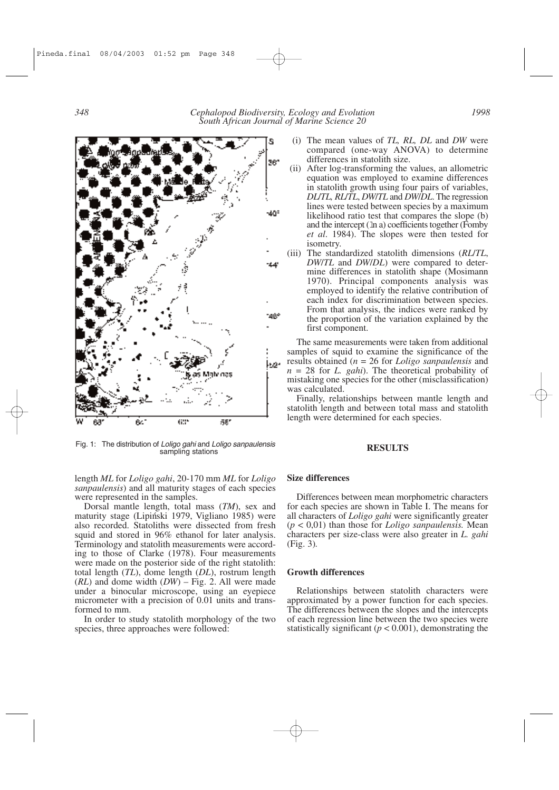

Fig. 1: The distribution of *Loligo gahi* and *Loligo sanpaulensis* sampling stations

length *ML* for *Loligo gahi*, 20-170 mm *ML* for *Loligo sanpaulensis*) and all maturity stages of each species were represented in the samples.

Dorsal mantle length, total mass (*TM*), sex and maturity stage (Lipiński 1979, Vigliano 1985) were also recorded. Statoliths were dissected from fresh squid and stored in 96% ethanol for later analysis. Terminology and statolith measurements were according to those of Clarke (1978). Four measurements were made on the posterior side of the right statolith: total length (*TL*), dome length (*DL*), rostrum length (*RL*) and dome width (*DW*) – Fig. 2. All were made under a binocular microscope, using an eyepiece micrometer with a precision of 0.01 units and transformed to mm.

In order to study statolith morphology of the two species, three approaches were followed:

- (i) The mean values of *TL, RL, DL* and *DW* were compared (one-way ANOVA) to determine differences in statolith size.
- i(ii) After log-transforming the values, an allometric equation was employed to examine differences in statolith growth using four pairs of variables, *DL*/*TL, RL*/*TL*, *DW*/*TL* and *DW*/*DL*. The regression lines were tested between species by a maximum likelihood ratio test that compares the slope (b) and the intercept (ln a) coefficients together (Fomby *et al*. 1984). The slopes were then tested for isometry.
- (iii) The standardized statolith dimensions (*RL*/*TL*, *DW*/*TL* and *DW*/*DL*) were compared to determine differences in statolith shape (Mosimann 1970). Principal components analysis was employed to identify the relative contribution of each index for discrimination between species. From that analysis, the indices were ranked by the proportion of the variation explained by the first component.

The same measurements were taken from additional samples of squid to examine the significance of the results obtained (*n* = 26 for *Loligo sanpaulensis* and *n* = 28 for *L. gahi*). The theoretical probability of mistaking one species for the other (misclassification) was calculated.

Finally, relationships between mantle length and statolith length and between total mass and statolith length were determined for each species.

#### **RESULTS**

### **Size differences**

Differences between mean morphometric characters for each species are shown in Table I. The means for all characters of *Loligo gahi* were significantly greater (*p* < 0,01) than those for *Loligo sanpaulensis.* Mean characters per size-class were also greater in *L. gahi* (Fig. 3)*.*

## **Growth differences**

Relationships between statolith characters were approximated by a power function for each species. The differences between the slopes and the intercepts of each regression line between the two species were statistically significant ( $p < 0.001$ ), demonstrating the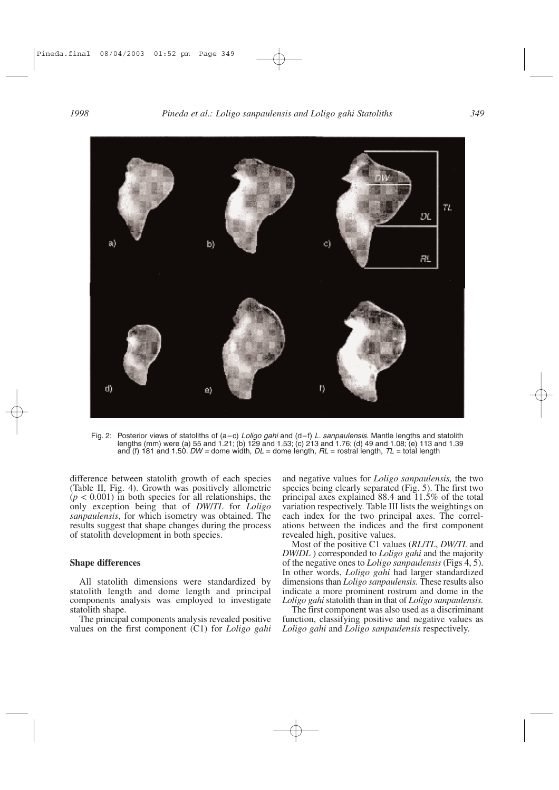

Fig. 2: Posterior views of statoliths of (a–c) *Loligo gahi* and (d–f) *L. sanpaulensis.* Mantle lengths and statolith lengths (mm) were (a) 55 and 1.21; (b) 129 and 1.53; (c) 213 and 1.76; (d) 49 and 1.08; (e) 113 and 1.39 and (f) 181 and 1.50. *DW =* dome width, *DL* = dome length*, RL* = rostral length, *TL* = total length

difference between statolith growth of each species (Table II, Fig. 4). Growth was positively allometric  $(p < 0.001)$  in both species for all relationships, the only exception being that of *DW*/*TL* for *Loligo sanpaulensis*, for which isometry was obtained. The results suggest that shape changes during the process of statolith development in both species.

## **Shape differences**

All statolith dimensions were standardized by statolith length and dome length and principal components analysis was employed to investigate statolith shape.

The principal components analysis revealed positive values on the first component (C1) for *Loligo gahi* and negative values for *Loligo sanpaulensis,* the two species being clearly separated (Fig. 5). The first two principal axes explained 88.4 and 11.5% of the total variation respectively. Table III lists the weightings on each index for the two principal axes. The correlations between the indices and the first component revealed high, positive values.

Most of the positive C1 values (*RL*/*TL*, *DW/TL* and *DW*/*DL* ) corresponded to *Loligo gahi* and the majority of the negative ones to *Loligo sanpaulensis* (Figs 4, 5). In other words, *Loligo gahi* had larger standardized dimensions than *Loligo sanpaulensis.* These results also indicate a more prominent rostrum and dome in the *Loligo gahi* statolith than in that of *Loligo sanpaulensis.*

The first component was also used as a discriminant function, classifying positive and negative values as *Loligo gahi* and *Loligo sanpaulensis* respectively.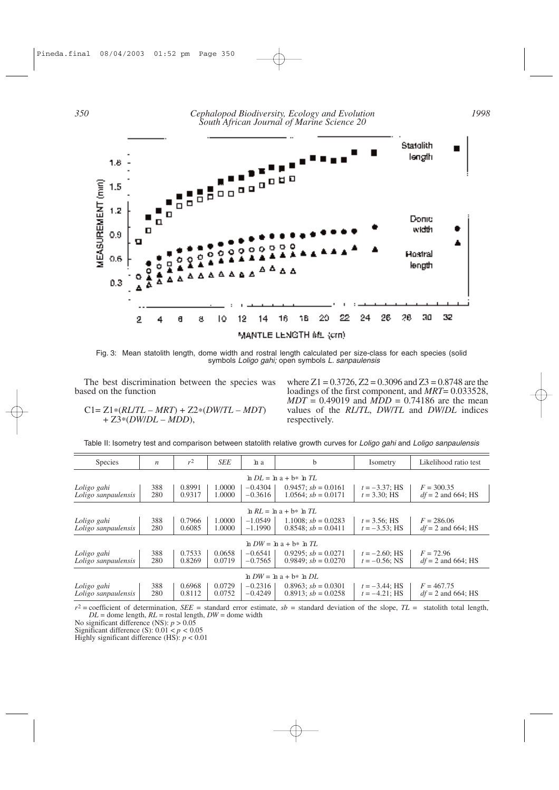

Fig. 3: Mean statolith length, dome width and rostral length calculated per size-class for each species (solid symbols *Loligo gahi;* open symbols *L. sanpaulensis*

The best discrimination between the species was based on the function

C1= Z1\*(*RL*/*TL* – *MRT*) + Z2\*(*DW*/*TL* – *MDT*) + Z3\*(*DW*/*DL* – *MDD*),

where  $Z1 = 0.3726$ ,  $Z2 = 0.3096$  and  $Z3 = 0.8748$  are the loadings of the first component, and *MRT*= 0.033528, *MDT* = 0.49019 and *MDD* = 0.74186 are the mean values of the *RL*/*TL*, *DW*/*TL* and *DW*/*DL* indices respectively.

Table II: Isometry test and comparison between statolith relative growth curves for *Loligo gahi* and *Loligo sanpaulensis*

| <b>Species</b>                     | $\boldsymbol{n}$ | $r^2$            | <b>SEE</b>       | h a                    | b                                                  | Isometry                             | Likelihood ratio test                |
|------------------------------------|------------------|------------------|------------------|------------------------|----------------------------------------------------|--------------------------------------|--------------------------------------|
| $h DL = h a + b * h TL$            |                  |                  |                  |                        |                                                    |                                      |                                      |
| Loligo gahi<br>Loligo sanpaulensis | 388<br>280       | 0.8991<br>0.9317 | 1.0000<br>1.0000 | $-0.4304$<br>$-0.3616$ | $0.9457$ ; sb = 0.0161<br>$1.0564$ ; $sb = 0.0171$ | $t = -3.37$ ; HS<br>$t = 3.30$ ; HS  | $F = 300.35$<br>$df = 2$ and 664; HS |
| $h R L = h a + b * h T L$          |                  |                  |                  |                        |                                                    |                                      |                                      |
| Loligo gahi<br>Loligo sanpaulensis | 388<br>280       | 0.7966<br>0.6085 | 1.0000<br>1.0000 | $-1.0549$<br>$-1.1990$ | 1.1008: $sb = 0.0283$<br>$0.8548$ ; sb = 0.0411    | $t = 3.56$ ; HS<br>$t = -3.53$ ; HS  | $F = 286.06$<br>$df = 2$ and 664; HS |
| $hDW = ha + b* hTL$                |                  |                  |                  |                        |                                                    |                                      |                                      |
| Loligo gahi<br>Loligo sanpaulensis | 388<br>280       | 0.7533<br>0.8269 | 0.0658<br>0.0719 | $-0.6541$<br>$-0.7565$ | $0.9295$ ; sb = 0.0271<br>$0.9849$ ; $sb = 0.0270$ | $t = -2.60$ ; HS<br>$t = -0.56$ ; NS | $F = 72.96$<br>$df = 2$ and 664; HS  |
| $hDW = ha + b* hDL$                |                  |                  |                  |                        |                                                    |                                      |                                      |
| Loligo gahi<br>Loligo sanpaulensis | 388<br>280       | 0.6968<br>0.8112 | 0.0729<br>0.0752 | $-0.2316$<br>$-0.4249$ | $0.8963$ ; sb = 0.0301<br>$0.8913$ ; $sb = 0.0258$ | $t = -3.44$ ; HS<br>$t = -4.21$ ; HS | $F = 467.75$<br>$df = 2$ and 664; HS |
|                                    |                  |                  |                  |                        |                                                    |                                      |                                      |

 $r^2$  = coefficient of determination, *SEE* = standard error estimate,  $sb$  = standard deviation of the slope,  $TL$  = statolith total length,  $DL =$  dome length,  $RL =$  rostal length,  $DW =$  dome width

No significant difference (NS): *p* > 0.05

Significant difference (S):  $0.01 < p < 0.05$ 

Highly significant difference (HS): *p* < 0.01

*1998*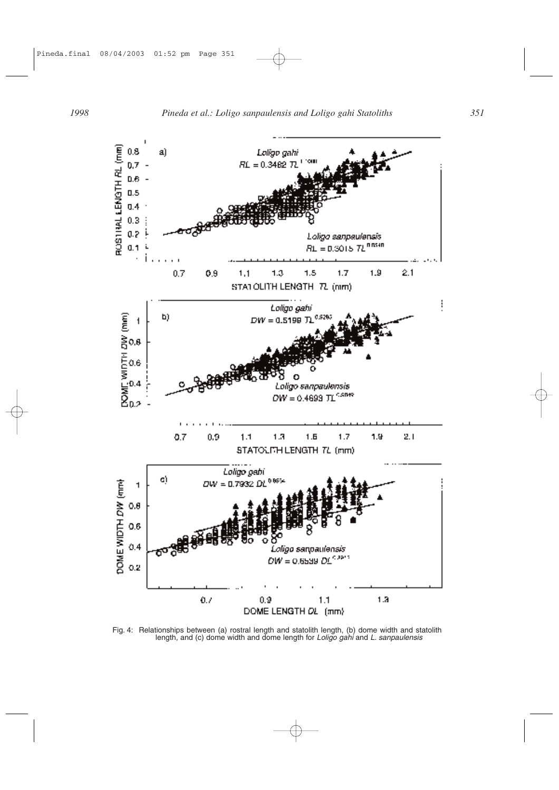

Fig. 4: Relationships between (a) rostral length and statolith length, (b) dome width and statolith length, and (c) dome width and dome length for *Loligo gahi* and *L. sanpaulensis*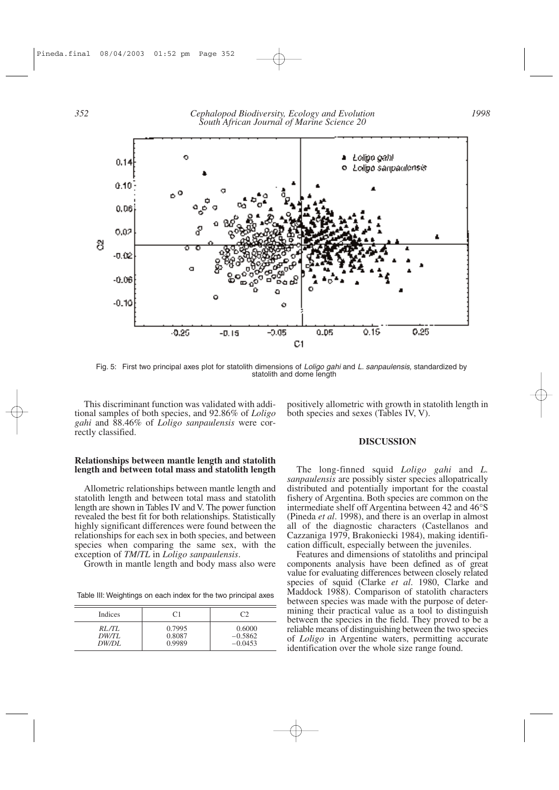

Fig. 5: First two principal axes plot for statolith dimensions of *Loligo gahi* and *L. sanpaulensis,* standardized by statolith and dome length

This discriminant function was validated with additional samples of both species, and 92.86% of *Loligo gahi* and 88.46% of *Loligo sanpaulensis* were correctly classified.

# positively allometric with growth in statolith length in both species and sexes (Tables IV, V).

# **Relationships between mantle length and statolith length and between total mass and statolith length**

Allometric relationships between mantle length and statolith length and between total mass and statolith length are shown in Tables IV and V. The power function revealed the best fit for both relationships. Statistically highly significant differences were found between the relationships for each sex in both species, and between species when comparing the same sex, with the exception of *TM*/*TL* in *Loligo sanpaulensis*.

Growth in mantle length and body mass also were

Table III: Weightings on each index for the two principal axes

| <b>Indices</b> | C <sub>1</sub> |           |
|----------------|----------------|-----------|
| RL/TL          | 0.7995         | 0.6000    |
| DW/TL          | 0.8087         | $-0.5862$ |
| DW/DL          | 0.9989         | $-0.0453$ |

# **DISCUSSION**

The long-finned squid *Loligo gahi* and *L. sanpaulensis* are possibly sister species allopatrically distributed and potentially important for the coastal fishery of Argentina. Both species are common on the intermediate shelf off Argentina between 42 and 46°S (Pineda *et al*. 1998), and there is an overlap in almost all of the diagnostic characters (Castellanos and Cazzaniga 1979, Brakoniecki 1984), making identification difficult, especially between the juveniles.

Features and dimensions of statoliths and principal components analysis have been defined as of great value for evaluating differences between closely related species of squid (Clarke *et al*. 1980, Clarke and Maddock 1988). Comparison of statolith characters between species was made with the purpose of determining their practical value as a tool to distinguish between the species in the field. They proved to be a reliable means of distinguishing between the two species of *Loligo* in Argentine waters, permitting accurate identification over the whole size range found.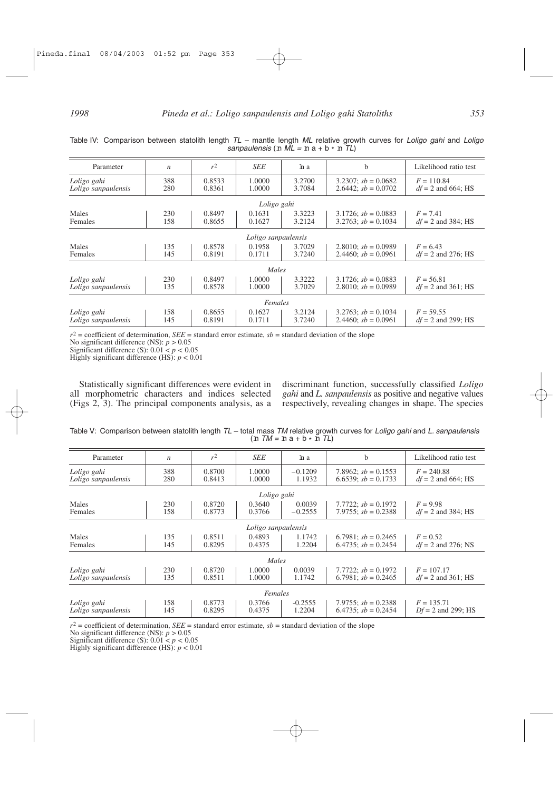| Parameter           | $\boldsymbol{n}$ | r <sup>2</sup> | SEE         | h a    | b                        | Likelihood ratio test |  |
|---------------------|------------------|----------------|-------------|--------|--------------------------|-----------------------|--|
| Loligo gahi         | 388              | 0.8533         | 1.0000      | 3.2700 | $3.2307$ ; sb = 0.0682   | $F = 110.84$          |  |
| Loligo sanpaulensis | 280              | 0.8361         | 1.0000      | 3.7084 | $2.6442$ ; $sb = 0.0702$ | $df = 2$ and 664; HS  |  |
|                     |                  |                | Loligo gahi |        |                          |                       |  |
| Males               | 230              | 0.8497         | 0.1631      | 3.3223 | $3.1726$ ; sb = 0.0883   | $F = 7.41$            |  |
| Females             | 158              | 0.8655         | 0.1627      | 3.2124 | $3.2763$ ; sb = 0.1034   | $df = 2$ and 384; HS  |  |
| Loligo sanpaulensis |                  |                |             |        |                          |                       |  |
| Males               | 135              | 0.8578         | 0.1958      | 3.7029 | 2.8010; $sb = 0.0989$    | $F = 6.43$            |  |
| <b>Females</b>      | 145              | 0.8191         | 0.1711      | 3.7240 | 2.4460; $sb = 0.0961$    | $df = 2$ and 276; HS  |  |
| Males               |                  |                |             |        |                          |                       |  |
| Loligo gahi         | 230              | 0.8497         | 1.0000      | 3.3222 | $3.1726$ ; sb = 0.0883   | $F = 56.81$           |  |
| Loligo sanpaulensis | 135              | 0.8578         | 1.0000      | 3.7029 | 2.8010; $sb = 0.0989$    | $df = 2$ and 361; HS  |  |
| Females             |                  |                |             |        |                          |                       |  |
| Loligo gahi         | 158              | 0.8655         | 0.1627      | 3.2124 | $3.2763$ ; sb = 0.1034   | $F = 59.55$           |  |
| Loligo sanpaulensis | 145              | 0.8191         | 0.1711      | 3.7240 | 2.4460; $sb = 0.0961$    | $df = 2$ and 299; HS  |  |

Table IV: Comparison between statolith length *TL* – mantle length *ML* relative growth curves for *Loligo gahi* and *Loligo sanpaulensis* ( $\overline{M}L = \overline{M}a + b \cdot \overline{M}L$ )

 $r^2$  = coefficient of determination, *SEE* = standard error estimate,  $sb$  = standard deviation of the slope

No significant difference (NS): *p* > 0.05

Significant difference (S):  $0.01 < p < 0.05$ Highly significant difference (HS): *p* < 0.01

Statistically significant differences were evident in all morphometric characters and indices selected (Figs 2, 3). The principal components analysis, as a discriminant function, successfully classified *Loligo gahi* and *L. sanpaulensis* as positive and negative values respectively, revealing changes in shape. The species

Table V: Comparison between statolith length *TL* – total mass *TM* relative growth curves for *Loligo gahi* and *L. sanpaulensis*  $(n TM = n a + b * n T)$ 

| Parameter                          | $\boldsymbol{n}$ | $r^2$            | SEE              | h a                 | b                                                  | Likelihood ratio test                |  |
|------------------------------------|------------------|------------------|------------------|---------------------|----------------------------------------------------|--------------------------------------|--|
| Loligo gahi<br>Loligo sanpaulensis | 388<br>280       | 0.8700<br>0.8413 | 1.0000<br>1.0000 | $-0.1209$<br>1.1932 | 7.8962; $sb = 0.1553$<br>6.6539; $sb = 0.1733$     | $F = 240.88$<br>$df = 2$ and 664; HS |  |
|                                    |                  |                  | Loligo gahi      |                     |                                                    |                                      |  |
| Males<br>Females                   | 230<br>158       | 0.8720<br>0.8773 | 0.3640<br>0.3766 | 0.0039<br>$-0.2555$ | $7.7722$ ; $sb = 0.1972$<br>7.9755; $sb = 0.2388$  | $F = 9.98$<br>$df = 2$ and 384; HS   |  |
| Loligo sanpaulensis                |                  |                  |                  |                     |                                                    |                                      |  |
| Males<br>Females                   | 135<br>145       | 0.8511<br>0.8295 | 0.4893<br>0.4375 | 1.1742<br>1.2204    | $6.7981$ ; $sb = 0.2465$<br>$6.4735$ ; sb = 0.2454 | $F = 0.52$<br>$df = 2$ and 276; NS   |  |
| Males                              |                  |                  |                  |                     |                                                    |                                      |  |
| Loligo gahi<br>Loligo sanpaulensis | 230<br>135       | 0.8720<br>0.8511 | 1.0000<br>1.0000 | 0.0039<br>1.1742    | $7.7722$ ; sb = 0.1972<br>$6.7981$ ; $sb = 0.2465$ | $F = 107.17$<br>$df = 2$ and 361; HS |  |
| Females                            |                  |                  |                  |                     |                                                    |                                      |  |
| Loligo gahi<br>Loligo sanpaulensis | 158<br>145       | 0.8773<br>0.8295 | 0.3766<br>0.4375 | $-0.2555$<br>1.2204 | 7.9755; $sb = 0.2388$<br>$6.4735$ ; sb = 0.2454    | $F = 135.71$<br>$Df = 2$ and 299; HS |  |
|                                    |                  |                  |                  |                     |                                                    |                                      |  |

 $r^2$  = coefficient of determination, *SEE* = standard error estimate, *sb* = standard deviation of the slope

No significant difference (NS): *p* > 0.05

Significant difference (S):  $0.01 < p < 0.05$ 

Highly significant difference (HS):  $p < 0.01$